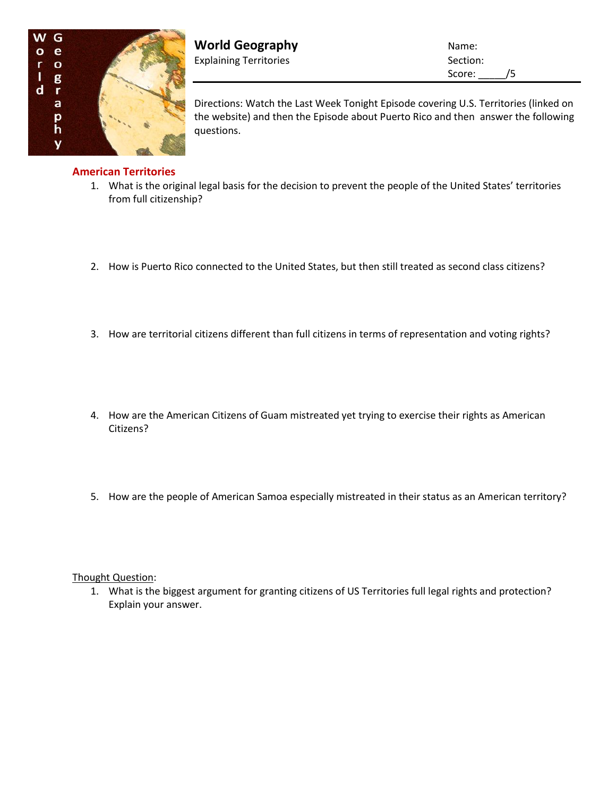

**World Geography Name:** Name: Explaining Territories Section: Section:

Score: \_\_\_\_\_/5

Directions: Watch the Last Week Tonight Episode covering U.S. Territories (linked on the website) and then the Episode about Puerto Rico and then answer the following questions.

## **American Territories**

- 1. What is the original legal basis for the decision to prevent the people of the United States' territories from full citizenship?
- 2. How is Puerto Rico connected to the United States, but then still treated as second class citizens?
- 3. How are territorial citizens different than full citizens in terms of representation and voting rights?
- 4. How are the American Citizens of Guam mistreated yet trying to exercise their rights as American Citizens?
- 5. How are the people of American Samoa especially mistreated in their status as an American territory?

Thought Question:

1. What is the biggest argument for granting citizens of US Territories full legal rights and protection? Explain your answer.